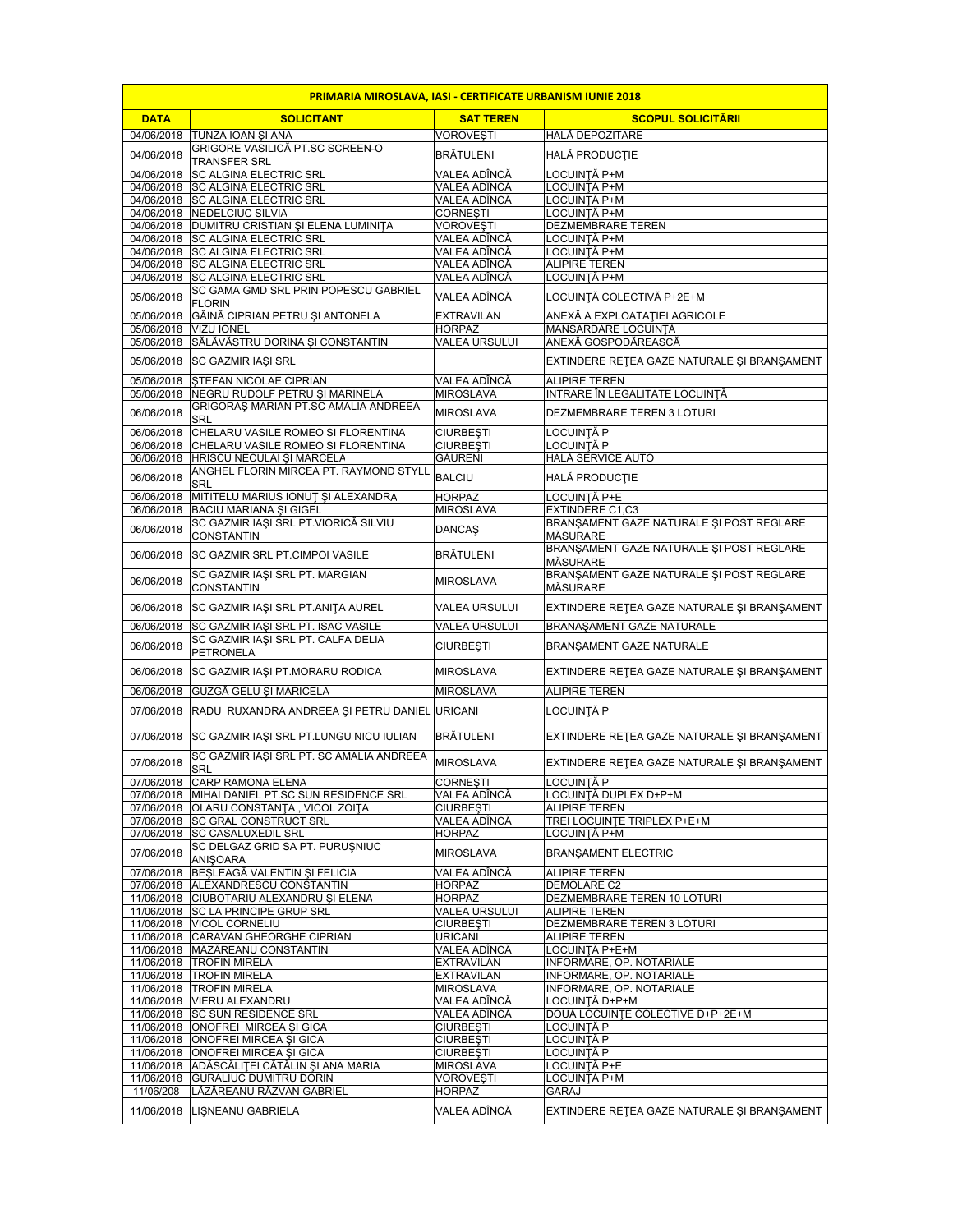| <b>PRIMARIA MIROSLAVA, IASI - CERTIFICATE URBANISM IUNIE 2018</b> |                                                                                            |                                          |                                                      |  |
|-------------------------------------------------------------------|--------------------------------------------------------------------------------------------|------------------------------------------|------------------------------------------------------|--|
| <b>DATA</b>                                                       | <b>SOLICITANT</b>                                                                          | <b>SAT TEREN</b>                         | <b>SCOPUL SOLICITĂRII</b>                            |  |
| 04/06/2018                                                        | TUNZA IOAN ȘI ANA                                                                          | VOROVEȘTI                                | HALĂ DEPOZITARE                                      |  |
| 04/06/2018                                                        | GRIGORE VASILICĂ PT.SC SCREEN-O                                                            | <b>BRĂTULENI</b>                         | HALĂ PRODUCȚIE                                       |  |
|                                                                   | <b>TRANSFER SRL</b><br>04/06/2018 SC ALGINA ELECTRIC SRL                                   | VALEA ADÎNCĂ                             | LOCUINȚĂ P+M                                         |  |
|                                                                   | 04/06/2018 SC ALGINA ELECTRIC SRL                                                          | VALEA ADÎNCĂ                             | LOCUINTĂ P+M                                         |  |
|                                                                   | 04/06/2018 SC ALGINA ELECTRIC SRL                                                          | VALEA ADÎNCĂ                             | LOCUINTĂ P+M                                         |  |
|                                                                   | 04/06/2018 NEDELCIUC SILVIA                                                                | <b>CORNEȘTI</b>                          | LOCUINȚĂ P+M                                         |  |
|                                                                   | 04/06/2018 DUMITRU CRISTIAN ȘI ELENA LUMINIȚA                                              | VOROVEȘTI                                | DEZMEMBRARE TEREN                                    |  |
|                                                                   | 04/06/2018 SC ALGINA ELECTRIC SRL<br>04/06/2018 SC ALGINA ELECTRIC SRL                     | VALEA ADÎNCĂ<br>VALEA ADÎNCĂ             | LOCUINȚĂ P+M<br>LOCUINȚĂ P+M                         |  |
|                                                                   | 04/06/2018 SC ALGINA ELECTRIC SRL                                                          | VALEA ADÎNCĂ                             | <b>ALIPIRE TEREN</b>                                 |  |
|                                                                   | 04/06/2018 SC ALGINA ELECTRIC SRL                                                          | VALEA ADÎNCĂ                             | LOCUINTĂ P+M                                         |  |
| 05/06/2018                                                        | SC GAMA GMD SRL PRIN POPESCU GABRIEL<br><b>FLORIN</b>                                      | VALEA ADÎNCĂ                             | LOCUINȚĂ COLECTIVĂ P+2E+M                            |  |
|                                                                   | 05/06/2018 GĂINĂ CIPRIAN PETRU ȘI ANTONELA                                                 | <b>EXTRAVILAN</b>                        | ANEXĂ A EXPLOATAȚIEI AGRICOLE                        |  |
|                                                                   | 05/06/2018 VIZU IONEL<br>05/06/2018 SĂLĂVĂSTRU DORINA ȘI CONSTANTIN                        | <b>HORPAZ</b><br><b>VALEA URSULUI</b>    | MANSARDARE LOCUINTĂ<br>ANEXĂ GOSPODĂREASCĂ           |  |
| 05/06/2018                                                        | <b>SC GAZMIR IAŞI SRL</b>                                                                  |                                          | EXTINDERE REȚEA GAZE NATURALE ȘI BRANȘAMENT          |  |
| 05/06/2018                                                        | <b>STEFAN NICOLAE CIPRIAN</b>                                                              | VALEA ADÎNCĂ                             | <b>ALIPIRE TEREN</b>                                 |  |
|                                                                   | 05/06/2018 NEGRU RUDOLF PETRU ȘI MARINELA                                                  | <b>MIROSLAVA</b>                         | INTRARE ÎN LEGALITATE LOCUINȚĂ                       |  |
| 06/06/2018                                                        | GRIGORAS MARIAN PT.SC AMALIA ANDREEA<br>SRL                                                | <b>MIROSLAVA</b>                         | DEZMEMBRARE TEREN 3 LOTURI                           |  |
|                                                                   | 06/06/2018 CHELARU VASILE ROMEO SI FLORENTINA                                              | <b>CIURBEȘTI</b>                         | LOCUINTĂ P                                           |  |
|                                                                   | 06/06/2018 CHELARU VASILE ROMEO SI FLORENTINA                                              | <b>CIURBESTI</b>                         | <b>LOCUINTĂ P</b>                                    |  |
|                                                                   | 06/06/2018 HRISCU NECULAI ȘI MARCELA                                                       | GĂURENI                                  | <b>HALĂ SERVICE AUTO</b>                             |  |
| 06/06/2018                                                        | ANGHEL FLORIN MIRCEA PT. RAYMOND STYLL<br>SRL                                              | <b>BALCIU</b>                            | HALĂ PRODUCȚIE                                       |  |
|                                                                   | 06/06/2018 MITITELU MARIUS IONUT ȘI ALEXANDRA                                              | <b>HORPAZ</b>                            | LOCUINTĂ P+E                                         |  |
|                                                                   | 06/06/2018 BACIU MARIANA SI GIGEL                                                          | <b>MIROSLAVA</b>                         | <b>EXTINDERE C1,C3</b>                               |  |
| 06/06/2018                                                        | SC GAZMIR IAŞI SRL PT.VIORICĂ SILVIU<br><b>CONSTANTIN</b>                                  | <b>DANCAŞ</b>                            | BRANŞAMENT GAZE NATURALE ŞI POST REGLARE<br>MĂSURARE |  |
| 06/06/2018                                                        | SC GAZMIR SRL PT.CIMPOI VASILE                                                             | BRĂTULENI                                | BRANŞAMENT GAZE NATURALE ŞI POST REGLARE<br>MĂSURARE |  |
| 06/06/2018                                                        | SC GAZMIR IAŞI SRL PT. MARGIAN<br><b>CONSTANTIN</b>                                        | <b>MIROSLAVA</b>                         | BRANŞAMENT GAZE NATURALE ŞI POST REGLARE<br>MĂSURARE |  |
| 06/06/2018                                                        | SC GAZMIR IAȘI SRL PT.ANIȚA AUREL                                                          | <b>VALEA URSULUI</b>                     | EXTINDERE RETEA GAZE NATURALE ȘI BRANȘAMENT          |  |
| 06/06/2018                                                        | SC GAZMIR IAȘI SRL PT. ISAC VASILE                                                         | <b>VALEA URSULUI</b>                     | BRANAŞAMENT GAZE NATURALE                            |  |
| 06/06/2018                                                        | SC GAZMIR IAȘI SRL PT. CALFA DELIA<br><b>PETRONELA</b>                                     | <b>CIURBEȘTI</b>                         | BRANŞAMENT GAZE NATURALE                             |  |
|                                                                   | 06/06/2018 SC GAZMIR IAŞI PT.MORARU RODICA                                                 | <b>MIROSLAVA</b>                         | EXTINDERE REȚEA GAZE NATURALE ȘI BRANȘAMENT          |  |
| 06/06/2018                                                        | GUZGĂ GELU ȘI MARICELA                                                                     | <b>MIROSLAVA</b>                         | <b>ALIPIRE TEREN</b>                                 |  |
| 07/06/2018                                                        | RADU RUXANDRA ANDREEA ȘI PETRU DANIEL URICANI                                              |                                          | LOCUINȚĂ P                                           |  |
| 07/06/2018                                                        | SC GAZMIR IAŞI SRL PT.LUNGU NICU IULIAN                                                    | <b>BRÁTULENI</b>                         | EXTINDERE RETEA GAZE NATURALE ȘI BRANȘAMENT          |  |
| 07/06/2018                                                        | SC GAZMIR IAȘI SRL PT. SC AMALIA ANDREEA<br>SRL                                            | <b>MIROSLAVA</b>                         | EXTINDERE RETEA GAZE NATURALE ȘI BRANȘAMENT          |  |
|                                                                   | 07/06/2018 CARP RAMONA ELENA                                                               | <b>CORNEȘTI</b>                          | LOCUINȚĂ P                                           |  |
|                                                                   | 07/06/2018 MIHAI DANIEL PT.SC SUN RESIDENCE SRL<br>07/06/2018 OLARU CONSTANTA, VICOL ZOITA | VALEA ADÎNCĂ<br><b>CIURBEȘTI</b>         | LOCUINȚĂ DUPLEX D+P+M<br><b>ALIPIRE TEREN</b>        |  |
|                                                                   | 07/06/2018 SC GRAL CONSTRUCT SRL                                                           | VALEA ADÎNCĂ                             | TREI LOCUINTE TRIPLEX P+E+M                          |  |
|                                                                   | 07/06/2018 SC CASALUXEDIL SRL                                                              | HORPAZ                                   | LOCUINȚĂ P+M                                         |  |
| 07/06/2018                                                        | SC DELGAZ GRID SA PT. PURUŞNIUC<br><b>ANISOARA</b>                                         | <b>MIROSLAVA</b>                         | <b>BRANSAMENT ELECTRIC</b>                           |  |
|                                                                   | 07/06/2018 BEŞLEAGĂ VALENTIN ȘI FELICIA                                                    | VALEA ADÎNCĂ                             | <b>ALIPIRE TEREN</b>                                 |  |
|                                                                   | 07/06/2018 ALEXANDRESCU CONSTANTIN                                                         | <b>HORPAZ</b>                            | DEMOLARE C2                                          |  |
|                                                                   | 11/06/2018 CIUBOTARIU ALEXANDRU ȘI ELENA                                                   | HORPAZ                                   | DEZMEMBRARE TEREN 10 LOTURI                          |  |
|                                                                   | 11/06/2018 SC LA PRINCIPE GRUP SRL<br>11/06/2018 VICOL CORNELIU                            | <b>VALEA URSULUI</b><br><b>CIURBEȘTI</b> | <b>ALIPIRE TEREN</b><br>DEZMEMBRARE TEREN 3 LOTURI   |  |
|                                                                   | 11/06/2018 CARAVAN GHEORGHE CIPRIAN                                                        | <b>URICANI</b>                           | <b>ALIPIRE TEREN</b>                                 |  |
|                                                                   | 11/06/2018   MĂZĂREANU CONSTANTIN                                                          | VALEA ADÎNCĂ                             | LOCUINȚĂ P+E+M                                       |  |
|                                                                   | 11/06/2018   TROFIN MIRELA                                                                 | <b>EXTRAVILAN</b>                        | INFORMARE, OP. NOTARIALE                             |  |
|                                                                   | 11/06/2018 TROFIN MIRELA<br>11/06/2018   TROFIN MIRELA                                     | <b>EXTRAVILAN</b><br><b>MIROSLAVA</b>    | INFORMARE, OP. NOTARIALE                             |  |
|                                                                   | 11/06/2018   VIERU ALEXANDRU                                                               | VALEA ADÎNCĂ                             | INFORMARE, OP. NOTARIALE<br>LOCUINȚĂ D+P+M           |  |
|                                                                   | 11/06/2018 SC SUN RESIDENCE SRL                                                            | VALEA ADÎNCĂ                             | DOUĂ LOCUINȚE COLECTIVE D+P+2E+M                     |  |
|                                                                   | 11/06/2018 ONOFREI MIRCEA ȘI GICA                                                          | <b>CIURBEȘTI</b>                         | LOCUINȚĂ P                                           |  |
|                                                                   | 11/06/2018 ONOFREI MIRCEA ȘI GICA                                                          | <b>CIURBEȘTI</b>                         | LOCUINȚĂ P                                           |  |
|                                                                   | 11/06/2018 ONOFREI MIRCEA ȘI GICA<br>11/06/2018 ADĂSCĂLIȚEI CĂTĂLIN ȘI ANA MARIA           | <b>CIURBESTI</b><br>MIROSLAVA            | LOCUINȚĂ P<br>LOCUINȚĂ P+E                           |  |
|                                                                   | 11/06/2018 GURALIUC DUMITRU DORIN                                                          | VOROVEȘTI                                | LOCUINȚĂ P+M                                         |  |
| 11/06/208                                                         | LĂZĂREANU RĂZVAN GABRIEL                                                                   | <b>HORPAZ</b>                            | GARAJ                                                |  |
| 11/06/2018                                                        | LIŞNEANU GABRIELA                                                                          | VALEA ADÎNCĂ                             | EXTINDERE RETEA GAZE NATURALE ȘI BRANȘAMENT          |  |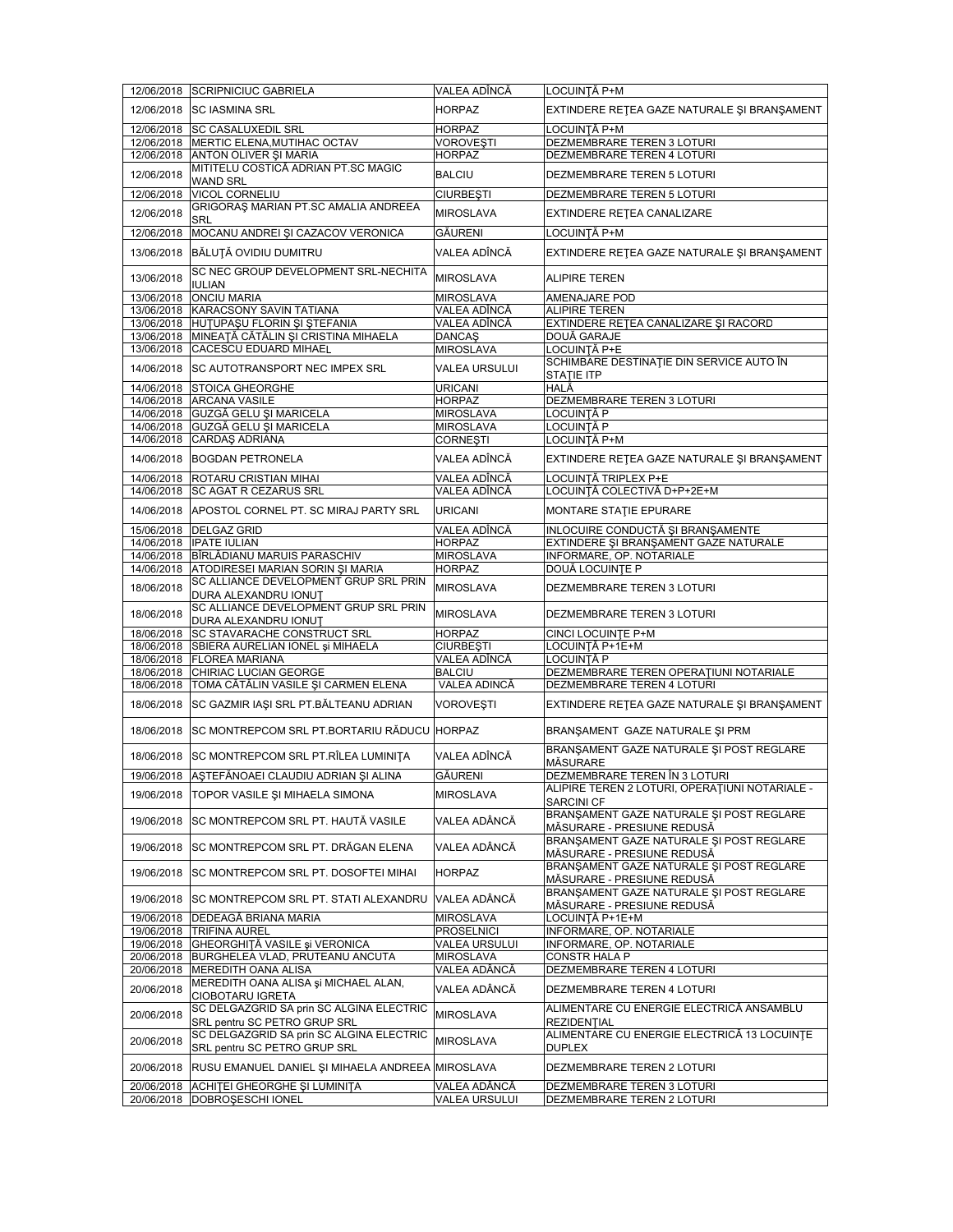|            | 12/06/2018 SCRIPNICIUC GABRIELA                                                          | VALEA ADÎNCĂ                         | LOCUINȚĂ P+M                                                           |
|------------|------------------------------------------------------------------------------------------|--------------------------------------|------------------------------------------------------------------------|
|            | 12/06/2018 ISC IASMINA SRL                                                               | <b>HORPAZ</b>                        | EXTINDERE RETEA GAZE NATURALE ȘI BRANȘAMENT                            |
|            | 12/06/2018 SC CASALUXEDIL SRL                                                            | <b>HORPAZ</b>                        | LOCUINTĂ P+M                                                           |
|            | 12/06/2018 MERTIC ELENA, MUTIHAC OCTAV                                                   | VOROVEȘTI                            | DEZMEMBRARE TEREN 3 LOTURI                                             |
|            | 12/06/2018 ANTON OLIVER SI MARIA                                                         | <b>HORPAZ</b>                        | DEZMEMBRARE TEREN 4 LOTURI                                             |
| 12/06/2018 | MITITELU COSTICĂ ADRIAN PT.SC MAGIC                                                      | <b>BALCIU</b>                        | DEZMEMBRARE TEREN 5 LOTURI                                             |
| 12/06/2018 | <b>WAND SRL</b><br><b>VICOL CORNELIU</b>                                                 | <b>CIURBESTI</b>                     | DEZMEMBRARE TEREN 5 LOTURI                                             |
|            | GRIGORAȘ MARIAN PT.SC AMALIA ANDREEA                                                     |                                      |                                                                        |
| 12/06/2018 | <b>SRL</b>                                                                               | <b>MIROSLAVA</b>                     | EXTINDERE RETEA CANALIZARE                                             |
| 12/06/2018 | MOCANU ANDREI ȘI CAZACOV VERONICA                                                        | GĀURENI                              | LOCUINȚĂ P+M                                                           |
|            | 13/06/2018 BĂLUȚĂ OVIDIU DUMITRU                                                         | VALEA ADÎNCĂ                         | EXTINDERE RETEA GAZE NATURALE ȘI BRANȘAMENT                            |
| 13/06/2018 | SC NEC GROUP DEVELOPMENT SRL-NECHITA<br><b>IULIAN</b>                                    | <b>MIROSLAVA</b>                     | <b>ALIPIRE TEREN</b>                                                   |
| 13/06/2018 | <b>ONCIU MARIA</b>                                                                       | <b>MIROSLAVA</b>                     | <b>AMENAJARE POD</b>                                                   |
|            | 13/06/2018 KARACSONY SAVIN TATIANA                                                       | VALEA ADÎNCĂ                         | <b>ALIPIRE TEREN</b>                                                   |
|            | 13/06/2018 HUTUPASU FLORIN SI STEFANIA<br>13/06/2018 MINEAȚĂ CĂTĂLIN ȘI CRISTINA MIHAELA | VALEA ADÎNCĂ<br>DANCAŞ               | EXTINDERE RETEA CANALIZARE ȘI RACORD<br>DOUĂ GARAJE                    |
| 13/06/2018 | <b>CACESCU EDUARD MIHAEL</b>                                                             | <b>MIROSLAVA</b>                     | LOCUINȚĂ P+E                                                           |
|            |                                                                                          |                                      | SCHIMBARE DESTINAȚIE DIN SERVICE AUTO ÎN                               |
|            | 14/06/2018 SC AUTOTRANSPORT NEC IMPEX SRL                                                | <b>VALEA URSULUI</b>                 | STATIE ITP                                                             |
|            | 14/06/2018 STOICA GHEORGHE                                                               | <b>URICANI</b>                       | HALĂ                                                                   |
|            | 14/06/2018 ARCANA VASILE                                                                 | <b>HORPAZ</b>                        | DEZMEMBRARE TEREN 3 LOTURI                                             |
|            | 14/06/2018 GUZGĂ GELU ȘI MARICELA<br>14/06/2018 GUZGĂ GELU ȘI MARICELA                   | <b>MIROSLAVA</b><br><b>MIROSLAVA</b> | LOCUINTĂ P<br>LOCUINTĂ P                                               |
|            | 14/06/2018 CARDAS ADRIANA                                                                | <b>CORNEȘTI</b>                      | LOCUINȚĂ P+M                                                           |
|            |                                                                                          |                                      |                                                                        |
|            | 14/06/2018 BOGDAN PETRONELA                                                              | VALEA ADÎNCĂ                         | EXTINDERE RETEA GAZE NATURALE ȘI BRANȘAMENT                            |
|            | 14/06/2018 ROTARU CRISTIAN MIHAI                                                         | VALEA ADÎNCĂ                         | LOCUINȚĂ TRIPLEX P+E                                                   |
|            | 14/06/2018 SC AGAT R CEZARUS SRL                                                         | VALEA ADÎNCĂ                         | LOCUINȚĂ COLECTIVĂ D+P+2E+M                                            |
|            | 14/06/2018 APOSTOL CORNEL PT. SC MIRAJ PARTY SRL                                         | <b>URICANI</b>                       | MONTARE STATIE EPURARE                                                 |
|            | 15/06/2018 DELGAZ GRID                                                                   | VALEA ADÎNCĂ                         | <b>INLOCUIRE CONDUCTĂ SI BRANSAMENTE</b>                               |
|            | 14/06/2018 IPATE IULIAN                                                                  | <b>HORPAZ</b>                        | EXTINDERE ȘI BRANȘAMENT GAZE NATURALE                                  |
|            | 14/06/2018 BÎRLĂDIANU MARUIS PARASCHIV                                                   | <b>MIROSLAVA</b>                     | INFORMARE, OP. NOTARIALE                                               |
|            | 14/06/2018 ATODIRESEI MARIAN SORIN ȘI MARIA                                              | <b>HORPAZ</b>                        | DOUĂ LOCUINȚE P                                                        |
| 18/06/2018 | SC ALLIANCE DEVELOPMENT GRUP SRL PRIN<br>DURA ALEXANDRU IONUȚ                            | <b>MIROSLAVA</b>                     | DEZMEMBRARE TEREN 3 LOTURI                                             |
| 18/06/2018 | SC ALLIANCE DEVELOPMENT GRUP SRL PRIN<br>DURA ALEXANDRU IONUT                            | <b>MIROSLAVA</b>                     | DEZMEMBRARE TEREN 3 LOTURI                                             |
| 18/06/2018 | <b>SC STAVARACHE CONSTRUCT SRL</b>                                                       | <b>HORPAZ</b>                        | <b>CINCI LOCUINTE P+M</b>                                              |
|            | 18/06/2018 SBIERA AURELIAN IONEL și MIHAELA                                              | <b>CIURBEȘTI</b>                     | LOCUINȚĂ P+1E+M                                                        |
|            | 18/06/2018 FLOREA MARIANA                                                                | VALEA ADÎNCĂ                         | LOCUINTĂ P                                                             |
|            | 18/06/2018 CHIRIAC LUCIAN GEORGE<br>TOMA CĂTĂLIN VASILE ȘI CARMEN ELENA                  | <b>BALCIU</b><br>VALEA ADINCĂ        | DEZMEMBRARE TEREN OPERAȚIUNI NOTARIALE<br>DEZMEMBRARE TEREN 4 LOTURI   |
| 18/06/2018 |                                                                                          |                                      |                                                                        |
|            | 18/06/2018 SC GAZMIR IAȘI SRL PT.BĂLTEANU ADRIAN                                         | <b>VOROVEȘTI</b>                     | EXTINDERE RETEA GAZE NATURALE ȘI BRANȘAMENT                            |
| 18/06/2018 | SC MONTREPCOM SRL PT.BORTARIU RĂDUCU HORPAZ                                              |                                      | BRANŞAMENT GAZE NATURALE ŞI PRM                                        |
|            | 18/06/2018 SC MONTREPCOM SRL PT.RILEA LUMINITA                                           | VALEA ADÎNCĂ                         | BRANŞAMENT GAZE NATURALE ŞI POST REGLARE<br>MĂSURARE                   |
|            | 19/06/2018 AŞTEFĂNOAEI CLAUDIU ADRIAN ȘI ALINA                                           | <b>GĂURENI</b>                       | DEZMEMBRARE TEREN ÎN 3 LOTURI                                          |
|            | 19/06/2018   TOPOR VASILE ȘI MIHAELA SIMONA                                              | <b>MIROSLAVA</b>                     | ALIPIRE TEREN 2 LOTURI, OPERAȚIUNI NOTARIALE -<br><b>SARCINI CF</b>    |
| 19/06/2018 | SC MONTREPCOM SRL PT. HAUTĂ VASILE                                                       | VALEA ADÂNCĂ                         | BRANŞAMENT GAZE NATURALE ŞI POST REGLARE<br>MĂSURARE - PRESIUNE REDUSĂ |
| 19/06/2018 | SC MONTREPCOM SRL PT. DRĂGAN ELENA                                                       | VALEA ADÂNCĂ                         | BRANŞAMENT GAZE NATURALE ŞI POST REGLARE<br>MĂSURARE - PRESIUNE REDUSĂ |
| 19/06/2018 | <b>SC MONTREPCOM SRL PT. DOSOFTEI MIHAI</b>                                              | <b>HORPAZ</b>                        | BRANŞAMENT GAZE NATURALE ŞI POST REGLARE<br>MĂSURARE - PRESIUNE REDUSĂ |
|            | 19/06/2018   SC MONTREPCOM SRL PT. STATI ALEXANDRU VALEA ADÂNCĂ                          |                                      | BRANŞAMENT GAZE NATURALE ŞI POST REGLARE<br>MĂSURARE - PRESIUNE REDUSĂ |
|            | 19/06/2018 DEDEAGĂ BRIANA MARIA                                                          | <b>MIROSLAVA</b>                     | LOCUINȚĂ P+1E+M                                                        |
|            | 19/06/2018 TRIFINA AUREL                                                                 | <b>PROSELNICI</b>                    | INFORMARE, OP. NOTARIALE                                               |
|            | 19/06/2018 GHEORGHITĂ VASILE și VERONICA                                                 | <b>VALEA URSULUI</b>                 | INFORMARE, OP. NOTARIALE                                               |
|            | 20/06/2018 BURGHELEA VLAD, PRUTEANU ANCUTA                                               | <b>MIROSLAVA</b>                     | CONSTR HALA P                                                          |
|            | 20/06/2018 MEREDITH OANA ALISA                                                           | VALEA ADÂNCĂ                         | DEZMEMBRARE TEREN 4 LOTURI                                             |
| 20/06/2018 | MEREDITH OANA ALISA și MICHAEL ALAN,<br>CIOBOTARU IGRETA                                 | VALEA ADÂNCĂ                         | DEZMEMBRARE TEREN 4 LOTURI                                             |
| 20/06/2018 | SC DELGAZGRID SA prin SC ALGINA ELECTRIC<br>SRL pentru SC PETRO GRUP SRL                 | <b>MIROSLAVA</b>                     | ALIMENTARE CU ENERGIE ELECTRICĂ ANSAMBLU<br>REZIDENTIAL                |
| 20/06/2018 | SC DELGAZGRID SA prin SC ALGINA ELECTRIC<br>SRL pentru SC PETRO GRUP SRL                 | <b>MIROSLAVA</b>                     | ALIMENTARE CU ENERGIE ELECTRICĂ 13 LOCUINȚE<br><b>DUPLEX</b>           |
|            | 20/06/2018 RUSU EMANUEL DANIEL ȘI MIHAELA ANDREEA MIROSLAVA                              |                                      | DEZMEMBRARE TEREN 2 LOTURI                                             |
|            | 20/06/2018 ACHITEI GHEORGHE ȘI LUMINITA                                                  | VALEA ADÂNCĂ                         | DEZMEMBRARE TEREN 3 LOTURI                                             |
|            | 20/06/2018   DOBROȘESCHI IONEL                                                           | <b>VALEA URSULUI</b>                 | DEZMEMBRARE TEREN 2 LOTURI                                             |
|            |                                                                                          |                                      |                                                                        |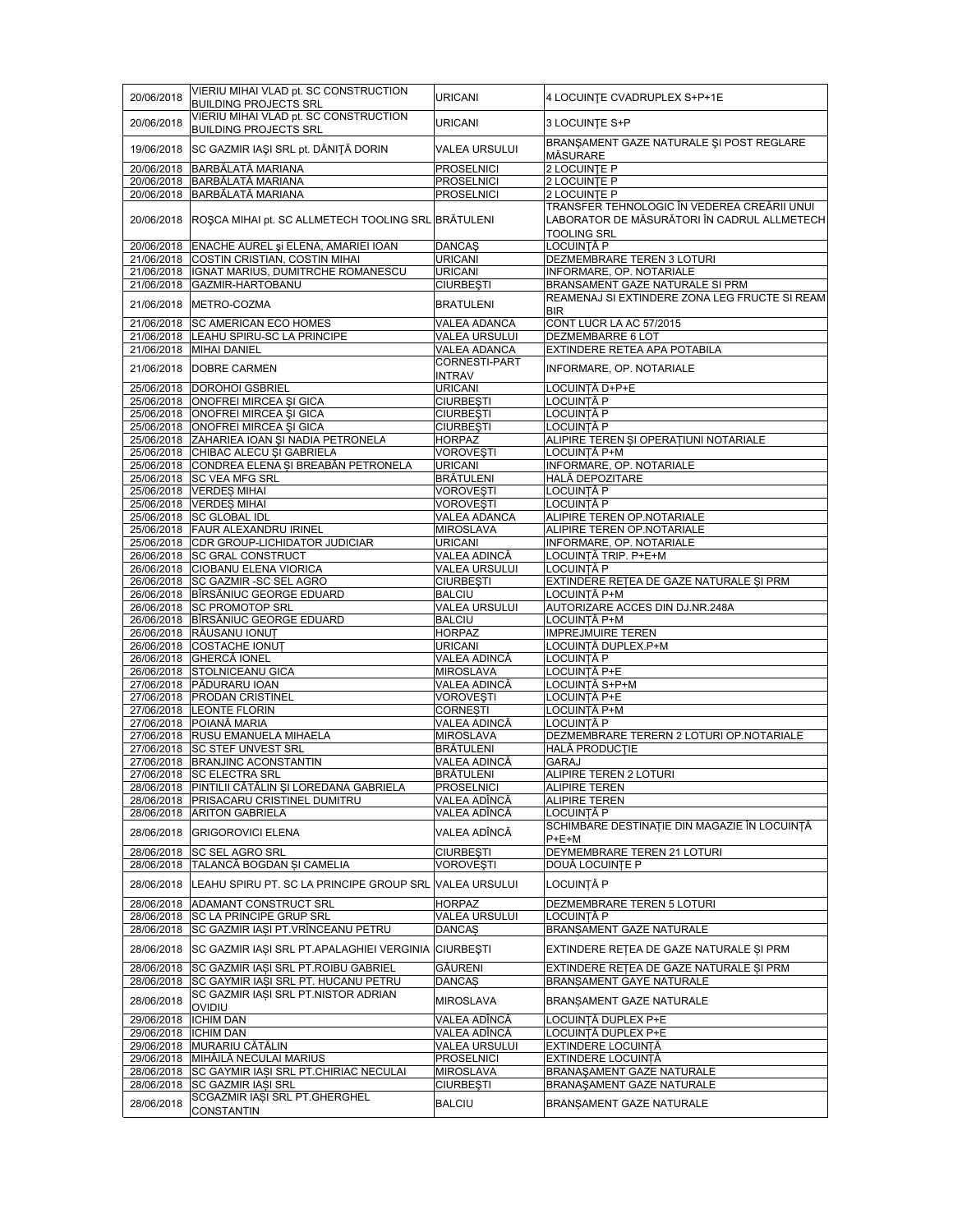| 20/06/2018 | VIERIU MIHAI VLAD pt. SC CONSTRUCTION<br><b>BUILDING PROJECTS SRL</b> | <b>URICANI</b>       | 4 LOCUINTE CVADRUPLEX S+P+1E                                                                                     |
|------------|-----------------------------------------------------------------------|----------------------|------------------------------------------------------------------------------------------------------------------|
| 20/06/2018 | VIERIU MIHAI VLAD pt. SC CONSTRUCTION<br><b>BUILDING PROJECTS SRL</b> | URICANI              | 3 LOCUINTE S+P                                                                                                   |
| 19/06/2018 | SC GAZMIR IAȘI SRL pt. DĂNIȚĂ DORIN                                   | <b>VALEA URSULUI</b> | BRANŞAMENT GAZE NATURALE ŞI POST REGLARE                                                                         |
|            | 20/06/2018 BARBĂLATĂ MARIANA                                          | <b>PROSELNICI</b>    | MĂSURARE<br>2 LOCUINTE P                                                                                         |
|            | 20/06/2018 BARBĂLATĂ MARIANA                                          | <b>PROSELNICI</b>    | 2 LOCUINTE P                                                                                                     |
|            | 20/06/2018 BARBĂLATĂ MARIANA                                          | <b>PROSELNICI</b>    | 2 LOCUINTE P                                                                                                     |
| 20/06/2018 | ROȘCA MIHAI pt. SC ALLMETECH TOOLING SRL BRĂTULENI                    |                      | TRANSFER TEHNOLOGIC ÎN VEDEREA CREĂRII UNUI<br>LABORATOR DE MĂSURĂTORI ÎN CADRUL ALLMETECH<br><b>TOOLING SRL</b> |
|            | 20/06/2018 ENACHE AUREL și ELENA, AMARIEI IOAN                        | <b>DANCAŞ</b>        | LOCUINTĂ P                                                                                                       |
|            | 21/06/2018 COSTIN CRISTIAN, COSTIN MIHAI                              | <b>URICANI</b>       | DEZMEMBRARE TEREN 3 LOTURI                                                                                       |
|            | 21/06/2018 IGNAT MARIUS, DUMITRCHE ROMANESCU                          | <b>URICANI</b>       | INFORMARE, OP. NOTARIALE                                                                                         |
|            | 21/06/2018 GAZMIR-HARTOBANU                                           | <b>CIURBESTI</b>     | BRANSAMENT GAZE NATURALE SI PRM                                                                                  |
|            | 21/06/2018 METRO-COZMA                                                | <b>BRATULENI</b>     | REAMENAJ SI EXTINDERE ZONA LEG FRUCTE SI REAM<br><b>BIR</b>                                                      |
|            | 21/06/2018 SC AMERICAN ECO HOMES                                      | <b>VALEA ADANCA</b>  | CONT LUCR LA AC 57/2015                                                                                          |
|            | 21/06/2018 LEAHU SPIRU-SC LA PRINCIPE                                 | <b>VALEA URSULUI</b> | DEZMEMBARRE 6 LOT                                                                                                |
|            | 21/06/2018 MIHAI DANIEL                                               | VALEA ADANCA         | EXTINDERE RETEA APA POTABILA                                                                                     |
|            | 21/06/2018   DOBRE CARMEN                                             | CORNESTI-PART        | INFORMARE, OP. NOTARIALE                                                                                         |
|            |                                                                       | <b>INTRAV</b>        |                                                                                                                  |
|            | 25/06/2018 DOROHOI GSBRIEL                                            | <b>URICANI</b>       | LOCUINTĂ D+P+E                                                                                                   |
|            | 25/06/2018 ONOFREI MIRCEA SI GICA                                     | <b>CIURBEȘTI</b>     | LOCUINTĂ P                                                                                                       |
|            | 25/06/2018 ONOFREI MIRCEA ȘI GICA                                     | <b>CIURBEȘTI</b>     | LOCUINTĂ P                                                                                                       |
|            | 25/06/2018 ONOFREI MIRCEA ȘI GICA                                     | <b>CIURBEȘTI</b>     | LOCUINTĂ P                                                                                                       |
|            | 25/06/2018 ZAHARIEA IOAN ȘI NADIA PETRONELA                           | <b>HORPAZ</b>        | ALIPIRE TEREN SI OPERATIUNI NOTARIALE                                                                            |
|            | 25/06/2018 CHIBAC ALECU ȘI GABRIELA                                   | <b>VOROVEȘTI</b>     | LOCUINTĂ P+M                                                                                                     |
|            | 25/06/2018 CONDREA ELENA ȘI BREABĂN PETRONELA                         | <b>URICANI</b>       | INFORMARE, OP. NOTARIALE                                                                                         |
|            | 25/06/2018 SC VEA MFG SRL                                             | <b>BRÄTULENI</b>     | HALĂ DEPOZITARE                                                                                                  |
|            | 25/06/2018 VERDES MIHAI                                               | <b>VOROVESTI</b>     | LOCUINTĂ P                                                                                                       |
|            | 25/06/2018 VERDES MIHAI                                               | <b>VOROVESTI</b>     | LOCUINȚĂ P                                                                                                       |
|            | 25/06/2018 SC GLOBAL IDL                                              | <b>VALEA ADANCA</b>  | ALIPIRE TEREN OP.NOTARIALE                                                                                       |
|            | 25/06/2018 FAUR ALEXANDRU IRINEL                                      | <b>MIROSLAVA</b>     | ALIPIRE TEREN OP.NOTARIALE                                                                                       |
|            | 25/06/2018 CDR GROUP-LICHIDATOR JUDICIAR                              | URICANI              | INFORMARE, OP. NOTARIALE                                                                                         |
|            | 26/06/2018 SC GRAL CONSTRUCT                                          | VALEA ADINCĂ         | LOCUINȚĂ TRIP. P+E+M                                                                                             |
|            | 26/06/2018 CIOBANU ELENA VIORICA                                      | <b>VALEA URSULUI</b> | LOCUINȚĂ P                                                                                                       |
|            | 26/06/2018 SC GAZMIR - SC SEL AGRO                                    | <b>CIURBEȘTI</b>     | EXTINDERE REȚEA DE GAZE NATURALE ȘI PRM                                                                          |
|            | 26/06/2018 BÎRSĂNIUC GEORGE EDUARD                                    | <b>BALCIU</b>        | LOCUINTĂ P+M                                                                                                     |
|            |                                                                       | <b>VALEA URSULUI</b> |                                                                                                                  |
|            | 26/06/2018 SC PROMOTOP SRL                                            |                      | AUTORIZARE ACCES DIN DJ.NR.248A                                                                                  |
|            | 26/06/2018 BÎRSĂNIUC GEORGE EDUARD                                    | <b>BALCIU</b>        | LOCUINȚĂ P+M                                                                                                     |
|            | 26/06/2018 RĂUSANU IONUȚ                                              | <b>HORPAZ</b>        | <b>IMPREJMUIRE TEREN</b>                                                                                         |
|            | 26/06/2018 COSTACHE IONUT                                             | URICANI              | LOCUINȚĂ DUPLEX.P+M                                                                                              |
|            | 26/06/2018 GHERCĂ IONEL                                               | VALEA ADINCĂ         | LOCUINȚĂ P                                                                                                       |
|            | 26/06/2018 STOLNICEANU GICA                                           | <b>MIROSLAVA</b>     | LOCUINȚĂ P+E                                                                                                     |
|            | 27/06/2018 PĂDURARU IOAN                                              | VALEA ADINCĂ         | LOCUINTĂ S+P+M                                                                                                   |
|            | 27/06/2018 PRODAN CRISTINEL                                           | <b>VOROVESTI</b>     | LOCUINTĂ P+E                                                                                                     |
|            | 27/06/2018 LEONTE FLORIN                                              | <b>CORNESTI</b>      | LOCUINTĂ P+M                                                                                                     |
|            | 27/06/2018 POIANĂ MARIA                                               | VALEA ADINCĂ         | LOCUINTĂ P                                                                                                       |
|            | 27/06/2018 RUSU EMANUELA MIHAELA                                      | <b>MIROSLAVA</b>     | DEZMEMBRARE TERERN 2 LOTURI OP.NOTARIALE                                                                         |
|            | 27/06/2018 SC STEF UNVEST SRL                                         | <b>BRĂTULENI</b>     | HALĂ PRODUCȚIE                                                                                                   |
|            | 27/06/2018 BRANJINC ACONSTANTIN                                       | VALEA ADINCĂ         | <b>GARAJ</b>                                                                                                     |
|            | 27/06/2018 SC ELECTRA SRL                                             | <b>BRÄTULENI</b>     | ALIPIRE TEREN 2 LOTURI                                                                                           |
|            | 28/06/2018 PINTILII CĂTĂLIN ȘI LOREDANA GABRIELA                      | <b>PROSELNICI</b>    | <b>ALIPIRE TEREN</b>                                                                                             |
|            | 28/06/2018 PRISACARU CRISTINEL DUMITRU                                | VALEA ADÎNCĂ         | <b>ALIPIRE TEREN</b>                                                                                             |
|            | 28/06/2018 ARITON GABRIELA                                            | VALEA ADÎNCĂ         | LOCUINȚĂ P                                                                                                       |
| 28/06/2018 | <b>GRIGOROVICI ELENA</b>                                              | VALEA ADÎNCĂ         | SCHIMBARE DESTINATIE DIN MAGAZIE ÎN LOCUINTĂ<br>$P+E+M$                                                          |
| 28/06/2018 | <b>SC SEL AGRO SRL</b>                                                | <b>CIURBEȘTI</b>     | DEYMEMBRARE TEREN 21 LOTURI                                                                                      |
|            | 28/06/2018   TALANCĂ BOGDAN ȘI CAMELIA                                | VOROVEȘTI            | DOUĂ LOCUINȚE P                                                                                                  |
| 28/06/2018 | LEAHU SPIRU PT. SC LA PRINCIPE GROUP SRL VALEA URSULUI                |                      | LOCUINTĂ P                                                                                                       |
| 28/06/2018 | <b>ADAMANT CONSTRUCT SRL</b>                                          | <b>HORPAZ</b>        | <b>DEZMEMBRARE TEREN 5 LOTURI</b>                                                                                |
| 28/06/2018 | SC LA PRINCIPE GRUP SRL                                               | <b>VALEA URSULUI</b> | LOCUINTĂ P                                                                                                       |
| 28/06/2018 | SC GAZMIR IASI PT.VRÎNCEANU PETRU                                     | <b>DANCAS</b>        | BRANSAMENT GAZE NATURALE                                                                                         |
|            |                                                                       |                      |                                                                                                                  |
| 28/06/2018 | SC GAZMIR IASI SRL PT.APALAGHIEI VERGINIA                             | <b>CIURBEȘTI</b>     | EXTINDERE RETEA DE GAZE NATURALE ȘI PRM                                                                          |
| 28/06/2018 | SC GAZMIR IASI SRL PT.ROIBU GABRIEL                                   | <b>GĂURENI</b>       | EXTINDERE RETEA DE GAZE NATURALE ȘI PRM                                                                          |
| 28/06/2018 | SC GAYMIR IASI SRL PT. HUCANU PETRU                                   | DANCAS               | BRANSAMENT GAYE NATURALE                                                                                         |
| 28/06/2018 | SC GAZMIR IAȘI SRL PT.NISTOR ADRIAN<br>OVIDIU                         | <b>MIROSLAVA</b>     | BRANSAMENT GAZE NATURALE                                                                                         |
| 29/06/2018 | <b>ICHIM DAN</b>                                                      | VALEA ADÎNCĂ         | LOCUINȚĂ DUPLEX P+E                                                                                              |
|            | 29/06/2018 <b>ICHIM DAN</b>                                           | VALEA ADÎNCĂ         | LOCUINȚĂ DUPLEX P+E                                                                                              |
|            | 29/06/2018 MURARIU CĂTĂLIN                                            | VALEA URSULUI        | EXTINDERE LOCUINȚĂ                                                                                               |
|            | 29/06/2018 MIHĂILĂ NECULAI MARIUS                                     | <b>PROSELNICI</b>    | <b>EXTINDERE LOCUINȚĂ</b>                                                                                        |
|            | 28/06/2018 SC GAYMIR IASI SRL PT.CHIRIAC NECULAI                      | <b>MIROSLAVA</b>     | BRANAŞAMENT GAZE NATURALE                                                                                        |
|            | 28/06/2018 SC GAZMIR IASI SRL                                         | <b>CIURBEȘTI</b>     | BRANAŞAMENT GAZE NATURALE                                                                                        |
| 28/06/2018 | SCGAZMIR IAȘI SRL PT.GHERGHEL                                         |                      |                                                                                                                  |
|            | <b>CONSTANTIN</b>                                                     | <b>BALCIU</b>        | BRANSAMENT GAZE NATURALE                                                                                         |